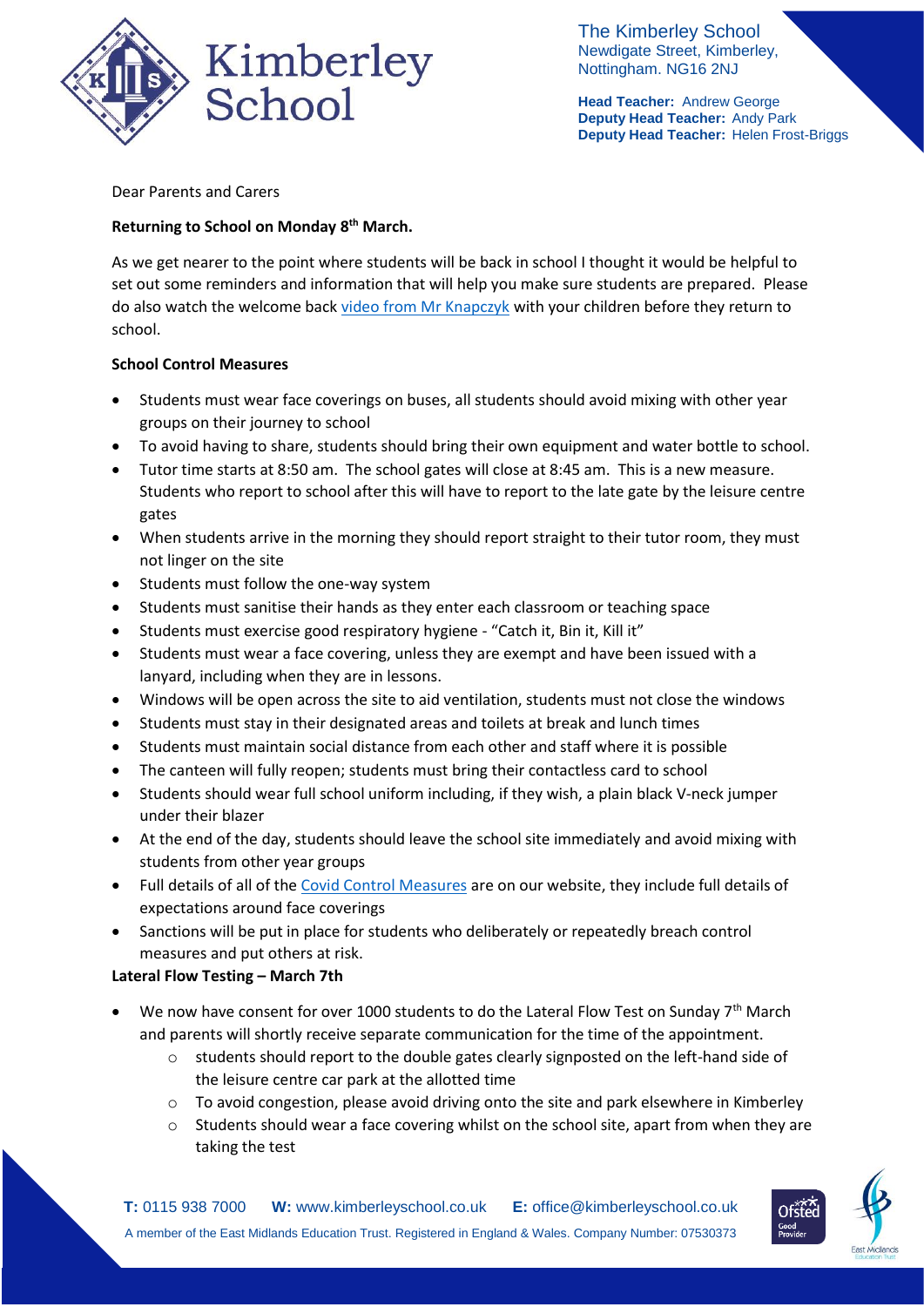

The Kimberley School Newdigate Street, Kimberley, Nottingham. NG16 2NJ

**Head Teacher:** Andrew George **Deputy Head Teacher:** Andy Park **Deputy Head Teacher:** Helen Frost-Briggs

## Dear Parents and Carers

# **Returning to School on Monday 8th March.**

As we get nearer to the point where students will be back in school I thought it would be helpful to set out some reminders and information that will help you make sure students are prepared. Please do also watch the welcome back [video from Mr Knapczyk](https://www.kimberleyschool.co.uk/notices) with your children before they return to school.

## **School Control Measures**

- Students must wear face coverings on buses, all students should avoid mixing with other year groups on their journey to school
- To avoid having to share, students should bring their own equipment and water bottle to school.
- Tutor time starts at 8:50 am. The school gates will close at 8:45 am. This is a new measure. Students who report to school after this will have to report to the late gate by the leisure centre gates
- When students arrive in the morning they should report straight to their tutor room, they must not linger on the site
- Students must follow the one-way system
- Students must sanitise their hands as they enter each classroom or teaching space
- Students must exercise good respiratory hygiene "Catch it, Bin it, Kill it"
- Students must wear a face covering, unless they are exempt and have been issued with a lanyard, including when they are in lessons.
- Windows will be open across the site to aid ventilation, students must not close the windows
- Students must stay in their designated areas and toilets at break and lunch times
- Students must maintain social distance from each other and staff where it is possible
- The canteen will fully reopen; students must bring their contactless card to school
- Students should wear full school uniform including, if they wish, a plain black V-neck jumper under their blazer
- At the end of the day, students should leave the school site immediately and avoid mixing with students from other year groups
- Full details of all of the [Covid Control Measures](https://www.kimberleyschool.co.uk/septemberopening) are on our website, they include full details of expectations around face coverings
- Sanctions will be put in place for students who deliberately or repeatedly breach control measures and put others at risk.

## **Lateral Flow Testing – March 7th**

- We now have consent for over 1000 students to do the Lateral Flow Test on Sunday 7<sup>th</sup> March and parents will shortly receive separate communication for the time of the appointment.
	- $\circ$  students should report to the double gates clearly signposted on the left-hand side of the leisure centre car park at the allotted time
	- o To avoid congestion, please avoid driving onto the site and park elsewhere in Kimberley
	- o Students should wear a face covering whilst on the school site, apart from when they are taking the test

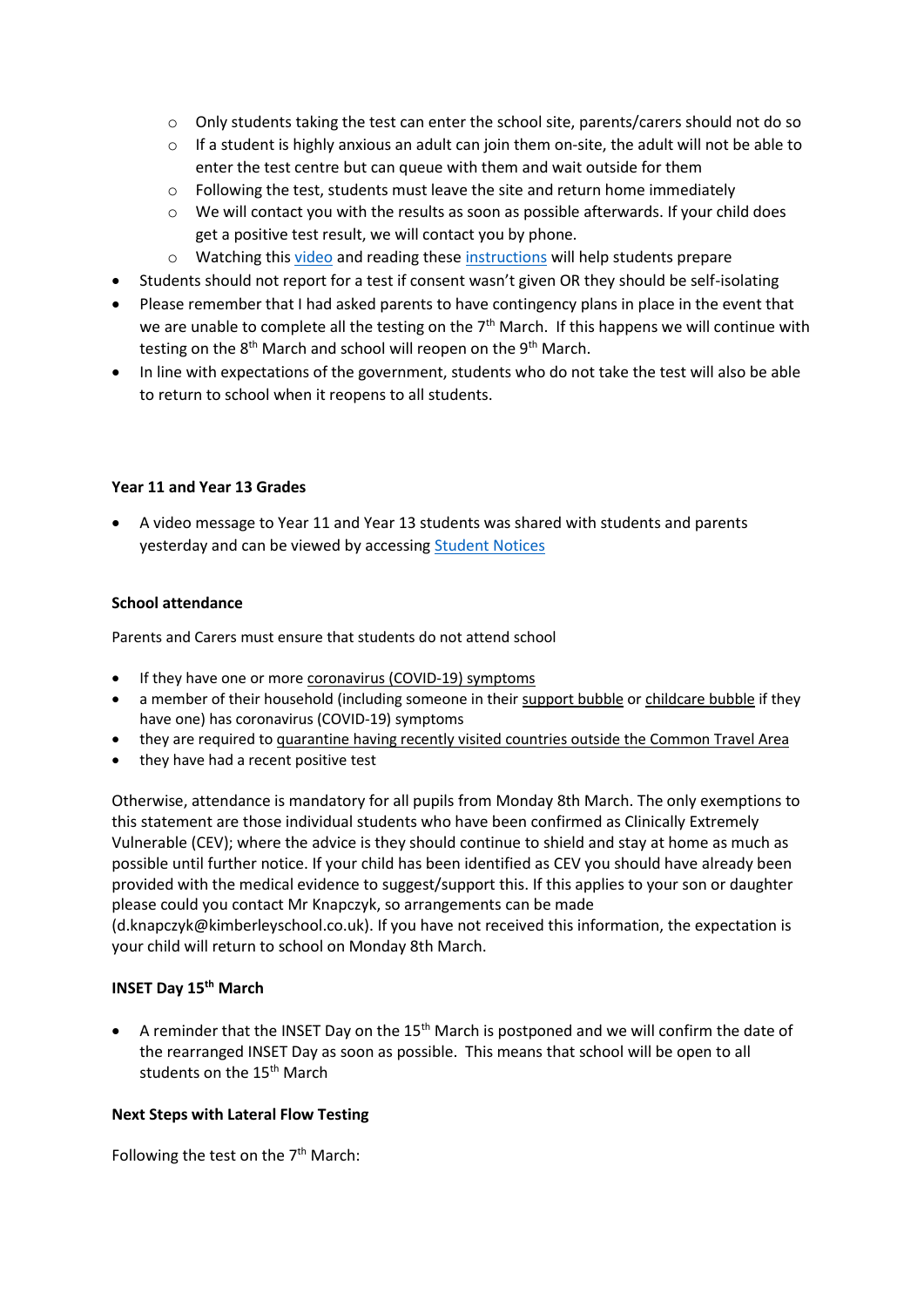- o Only students taking the test can enter the school site, parents/carers should not do so
- o If a student is highly anxious an adult can join them on-site, the adult will not be able to enter the test centre but can queue with them and wait outside for them
- $\circ$  Following the test, students must leave the site and return home immediately
- $\circ$  We will contact you with the results as soon as possible afterwards. If your child does get a positive test result, we will contact you by phone.
- o Watching this [video](https://youtu.be/hZLq3YhgNE0) and reading these [instructions](https://assets.publishing.service.gov.uk/government/uploads/system/uploads/attachment_data/file/946612/How_to_do_your_test_COVID_19_instruction_leaflet_for_schools.pdf) will help students prepare
- Students should not report for a test if consent wasn't given OR they should be self-isolating
- Please remember that I had asked parents to have contingency plans in place in the event that we are unable to complete all the testing on the  $7<sup>th</sup>$  March. If this happens we will continue with testing on the 8<sup>th</sup> March and school will reopen on the 9<sup>th</sup> March.
- In line with expectations of the government, students who do not take the test will also be able to return to school when it reopens to all students.

#### **Year 11 and Year 13 Grades**

 A video message to Year 11 and Year 13 students was shared with students and parents yesterday and can be viewed by accessing [Student Notices](https://www.kimberleyschool.co.uk/notices)

### **School attendance**

Parents and Carers must ensure that students do not attend school

- If they have one or more [coronavirus](https://www.gov.uk/guidance/nhs-test-and-trace-how-it-works#part-1-people-who-develop-symptoms-of-coronavirus) (COVID-19) symptoms
- a member of their household (including someone in their [support](https://www.gov.uk/guidance/making-a-support-bubble-with-another-household) bubble or [childcare](https://www.gov.uk/guidance/making-a-childcare-bubble-with-another-household) bubble if they have one) has coronavirus (COVID-19) symptoms
- they are required to [quarantine](https://www.gov.uk/uk-border-control/self-isolating-when-you-arrive) having recently visited countries outside the Common Travel Area
- they have had a recent positive test

Otherwise, attendance is mandatory for all pupils from Monday 8th March. The only exemptions to this statement are those individual students who have been confirmed as Clinically Extremely Vulnerable (CEV); where the advice is they should continue to shield and stay at home as much as possible until further notice. If your child has been identified as CEV you should have already been provided with the medical evidence to suggest/support this. If this applies to your son or daughter please could you contact Mr Knapczyk, so arrangements can be made (d.knapczyk@kimberleyschool.co.uk). If you have not received this information, the expectation is your child will return to school on Monday 8th March.

#### **INSET Day 15th March**

A reminder that the INSET Day on the  $15<sup>th</sup>$  March is postponed and we will confirm the date of the rearranged INSET Day as soon as possible. This means that school will be open to all students on the 15<sup>th</sup> March

#### **Next Steps with Lateral Flow Testing**

Following the test on the  $7<sup>th</sup>$  March: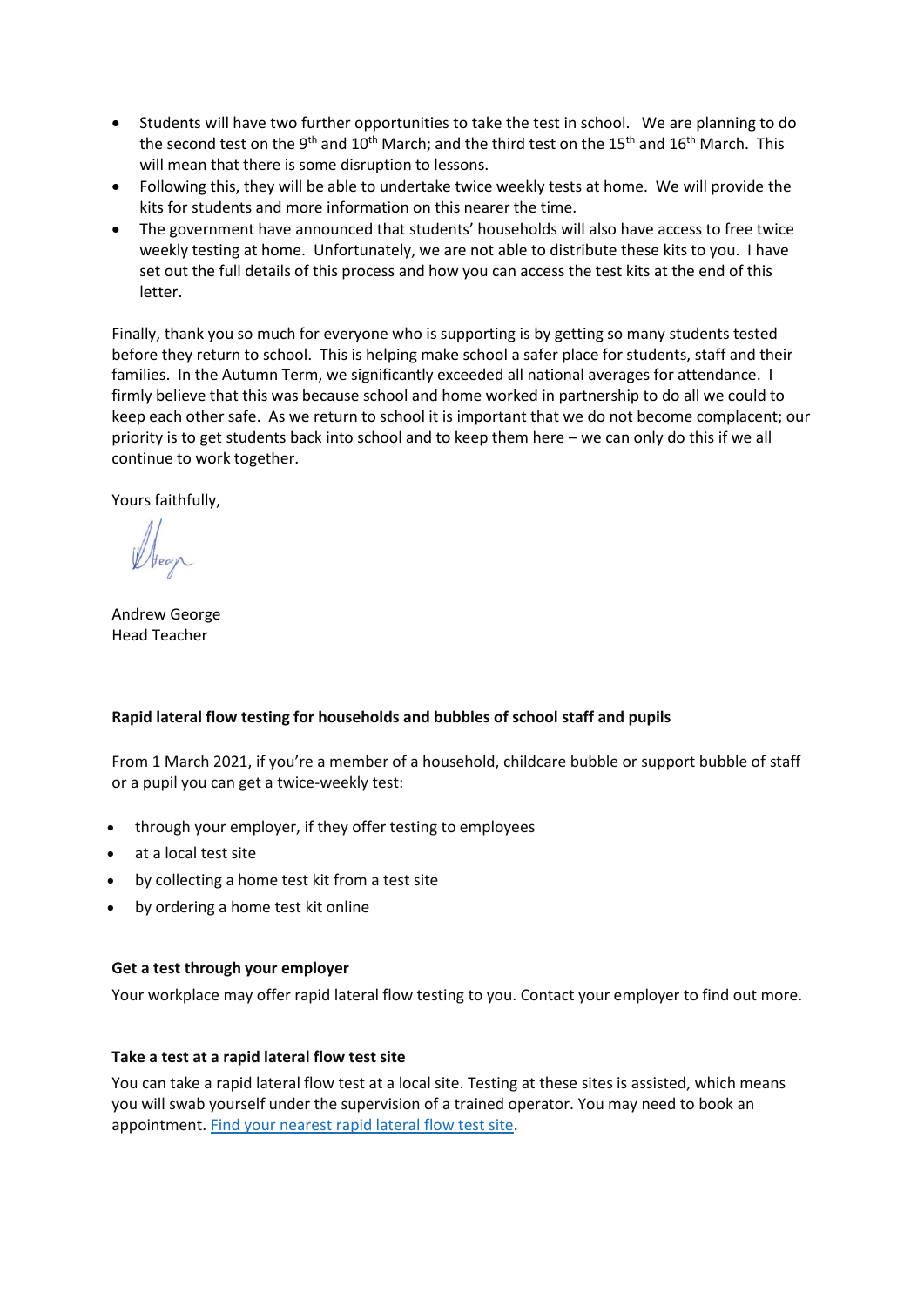- Students will have two further opportunities to take the test in school. We are planning to do the second test on the 9<sup>th</sup> and 10<sup>th</sup> March; and the third test on the 15<sup>th</sup> and 16<sup>th</sup> March. This will mean that there is some disruption to lessons.
- Following this, they will be able to undertake twice weekly tests at home. We will provide the kits for students and more information on this nearer the time.
- The government have announced that students' households will also have access to free twice weekly testing at home. Unfortunately, we are not able to distribute these kits to you. I have set out the full details of this process and how you can access the test kits at the end of this letter.

Finally, thank you so much for everyone who is supporting is by getting so many students tested before they return to school. This is helping make school a safer place for students, staff and their families. In the Autumn Term, we significantly exceeded all national averages for attendance. I firmly believe that this was because school and home worked in partnership to do all we could to keep each other safe. As we return to school it is important that we do not become complacent; our priority is to get students back into school and to keep them here – we can only do this if we all continue to work together.

Yours faithfully,

Andrew George Head Teacher

## **Rapid lateral flow testing for households and bubbles of school staff and pupils**

From 1 March 2021, if you're a member of a household, childcare bubble or support bubble of staff or a pupil you can get a twice-weekly test:

- through your employer, if they offer testing to employees
- at a local test site
- by collecting a home test kit from a test site
- by ordering a home test kit online

#### **Get a test through your employer**

Your workplace may offer rapid lateral flow testing to you. Contact your employer to find out more.

#### **Take a test at a rapid lateral flow test site**

You can take a rapid lateral flow test at a local site. Testing at these sites is assisted, which means you will swab yourself under the supervision of a trained operator. You may need to book an appointment. Find your [nearest](https://maps.test-and-trace.nhs.uk/) rapid lateral flow test site.